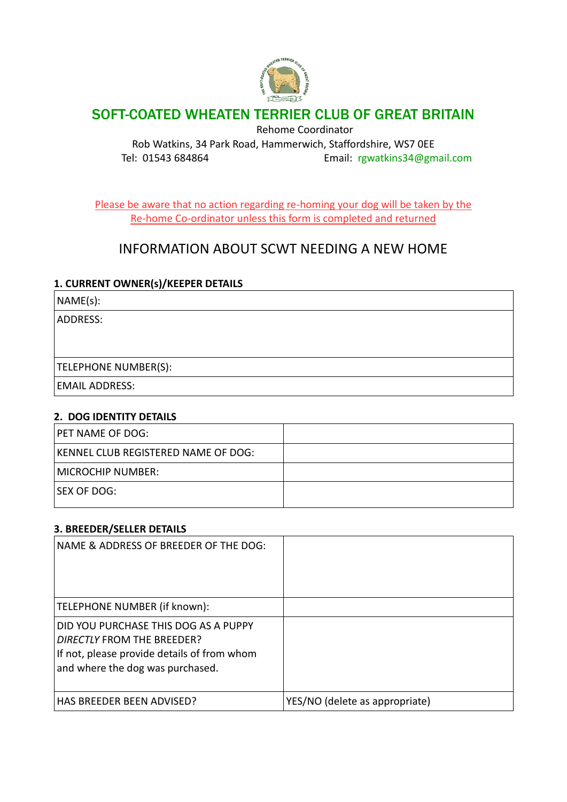

# SOFT-COATED WHEATEN TERRIER CLUB OF GREAT BRITAIN

Rehome Coordinator

Rob Watkins, 34 Park Road, Hammerwich, Staffordshire, WS7 0EE Tel: 01543 684864 Email: [rgwatkins34@gmail.com](mailto:rgwatkins34@gmail.com)

Please be aware that no action regarding re-homing your dog will be taken by the Re-home Co-ordinator unless this form is completed and returned

# INFORMATION ABOUT SCWT NEEDING A NEW HOME

### **1. CURRENT OWNER(s)/KEEPER DETAILS**

NAME(s):

ADDRESS:

TELEPHONE NUMBER(S):

EMAIL ADDRESS:

#### **2. DOG IDENTITY DETAILS**

| PET NAME OF DOG:                           |  |
|--------------------------------------------|--|
| <b>KENNEL CLUB REGISTERED NAME OF DOG:</b> |  |
| MICROCHIP NUMBER:                          |  |
| ISEX OF DOG:                               |  |

#### **3. BREEDER/SELLER DETAILS**

| NAME & ADDRESS OF BREEDER OF THE DOG:                                                                                                                        |                                |
|--------------------------------------------------------------------------------------------------------------------------------------------------------------|--------------------------------|
| TELEPHONE NUMBER (if known):                                                                                                                                 |                                |
| DID YOU PURCHASE THIS DOG AS A PUPPY<br><b>DIRECTLY FROM THE BREEDER?</b><br>If not, please provide details of from whom<br>and where the dog was purchased. |                                |
| HAS BREEDER BEEN ADVISED?                                                                                                                                    | YES/NO (delete as appropriate) |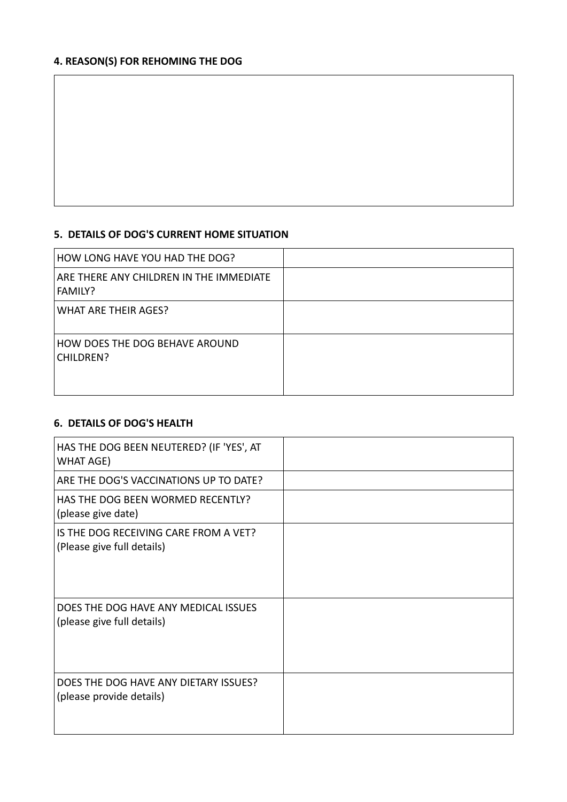## **4. REASON(S) FOR REHOMING THE DOG**

#### **5. DETAILS OF DOG'S CURRENT HOME SITUATION**

| HOW LONG HAVE YOU HAD THE DOG?                     |  |
|----------------------------------------------------|--|
| ARE THERE ANY CHILDREN IN THE IMMEDIATE<br>FAMILY? |  |
| <b>WHAT ARE THEIR AGES?</b>                        |  |
| HOW DOES THE DOG BEHAVE AROUND<br>CHILDREN?        |  |

### **6. DETAILS OF DOG'S HEALTH**

| HAS THE DOG BEEN NEUTERED? (IF 'YES', AT<br>WHAT AGE)               |  |
|---------------------------------------------------------------------|--|
| ARE THE DOG'S VACCINATIONS UP TO DATE?                              |  |
| HAS THE DOG BEEN WORMED RECENTLY?<br>(please give date)             |  |
| IS THE DOG RECEIVING CARE FROM A VET?<br>(Please give full details) |  |
| DOES THE DOG HAVE ANY MEDICAL ISSUES<br>(please give full details)  |  |
| DOES THE DOG HAVE ANY DIETARY ISSUES?<br>(please provide details)   |  |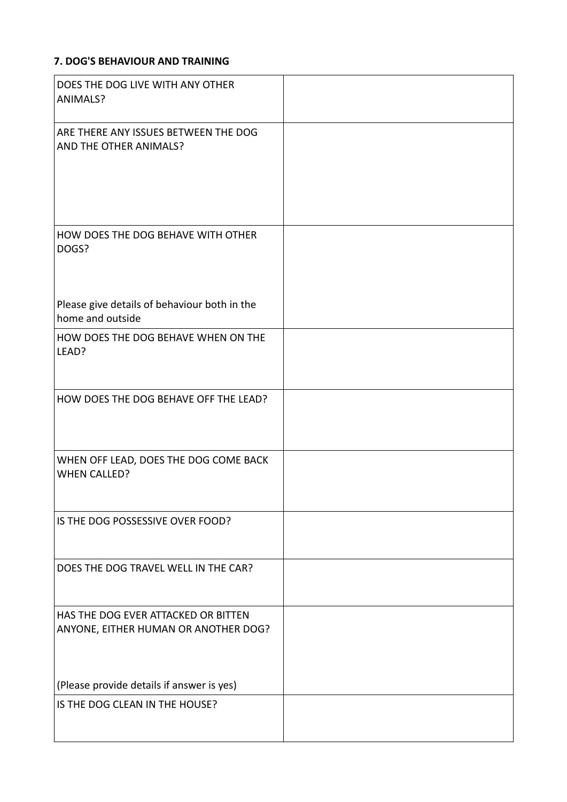## **7. DOG'S BEHAVIOUR AND TRAINING**

| DOES THE DOG LIVE WITH ANY OTHER<br>ANIMALS?                                |  |
|-----------------------------------------------------------------------------|--|
| ARE THERE ANY ISSUES BETWEEN THE DOG<br>AND THE OTHER ANIMALS?              |  |
| HOW DOES THE DOG BEHAVE WITH OTHER<br>DOGS?                                 |  |
| Please give details of behaviour both in the<br>home and outside            |  |
| HOW DOES THE DOG BEHAVE WHEN ON THE<br>LEAD?                                |  |
| HOW DOES THE DOG BEHAVE OFF THE LEAD?                                       |  |
| WHEN OFF LEAD, DOES THE DOG COME BACK<br><b>WHEN CALLED?</b>                |  |
| IS THE DOG POSSESSIVE OVER FOOD?                                            |  |
| DOES THE DOG TRAVEL WELL IN THE CAR?                                        |  |
| HAS THE DOG EVER ATTACKED OR BITTEN<br>ANYONE, EITHER HUMAN OR ANOTHER DOG? |  |
| (Please provide details if answer is yes)                                   |  |
| IS THE DOG CLEAN IN THE HOUSE?                                              |  |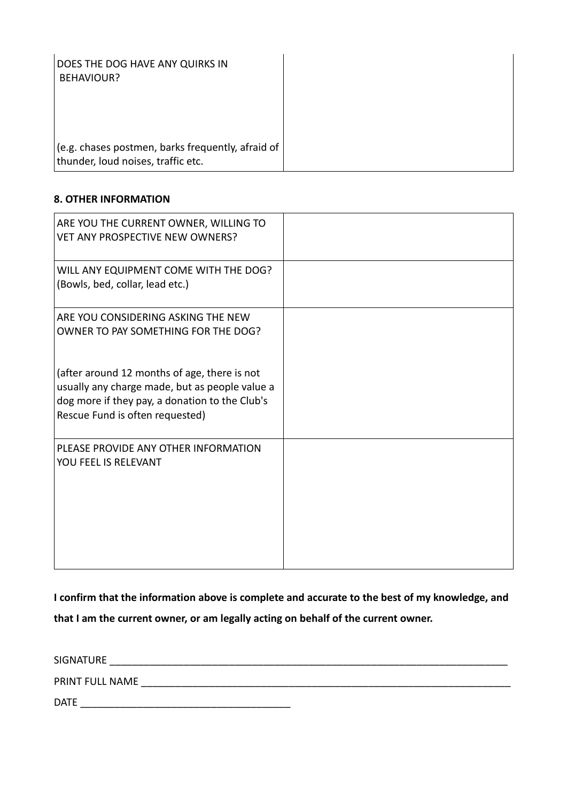| DOES THE DOG HAVE ANY QUIRKS IN<br>BEHAVIOUR?                                           |  |
|-----------------------------------------------------------------------------------------|--|
|                                                                                         |  |
| (e.g. chases postmen, barks frequently, afraid of<br>thunder, loud noises, traffic etc. |  |

### **8. OTHER INFORMATION**

| ARE YOU THE CURRENT OWNER, WILLING TO<br><b>VET ANY PROSPECTIVE NEW OWNERS?</b>                                                                                                     |  |
|-------------------------------------------------------------------------------------------------------------------------------------------------------------------------------------|--|
| WILL ANY EQUIPMENT COME WITH THE DOG?<br>(Bowls, bed, collar, lead etc.)                                                                                                            |  |
| ARE YOU CONSIDERING ASKING THE NEW<br>OWNER TO PAY SOMETHING FOR THE DOG?                                                                                                           |  |
| (after around 12 months of age, there is not<br>usually any charge made, but as people value a<br>dog more if they pay, a donation to the Club's<br>Rescue Fund is often requested) |  |
| PLEASE PROVIDE ANY OTHER INFORMATION<br>YOU FEEL IS RELEVANT                                                                                                                        |  |

**I confirm that the information above is complete and accurate to the best of my knowledge, and that I am the current owner, or am legally acting on behalf of the current owner.**

| SIGNATURE       |  |
|-----------------|--|
| PRINT FULL NAME |  |
| <b>DATE</b>     |  |